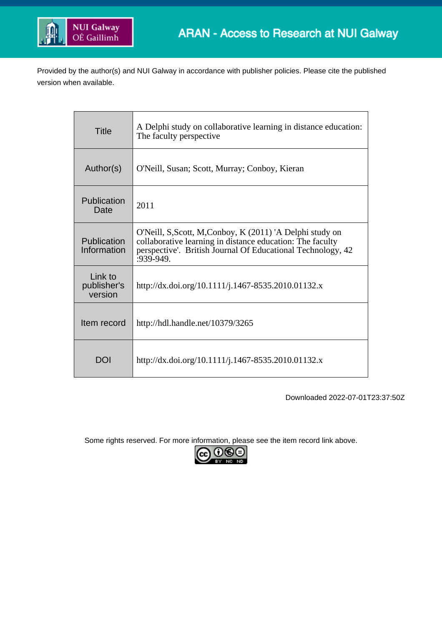

Provided by the author(s) and NUI Galway in accordance with publisher policies. Please cite the published version when available.

| <b>Title</b>                      | A Delphi study on collaborative learning in distance education:<br>The faculty perspective                                                                                                           |
|-----------------------------------|------------------------------------------------------------------------------------------------------------------------------------------------------------------------------------------------------|
| Author(s)                         | O'Neill, Susan; Scott, Murray; Conboy, Kieran                                                                                                                                                        |
| Publication<br>Date               | 2011                                                                                                                                                                                                 |
| Publication<br>Information        | O'Neill, S, Scott, M, Conboy, K (2011) 'A Delphi study on<br>collaborative learning in distance education: The faculty<br>perspective'. British Journal Of Educational Technology, 42<br>$:939-949.$ |
| Link to<br>publisher's<br>version | http://dx.doi.org/10.1111/j.1467-8535.2010.01132.x                                                                                                                                                   |
| Item record                       | http://hdl.handle.net/10379/3265                                                                                                                                                                     |
| <b>DOI</b>                        | http://dx.doi.org/10.1111/j.1467-8535.2010.01132.x                                                                                                                                                   |

Downloaded 2022-07-01T23:37:50Z

Some rights reserved. For more information, please see the item record link above.

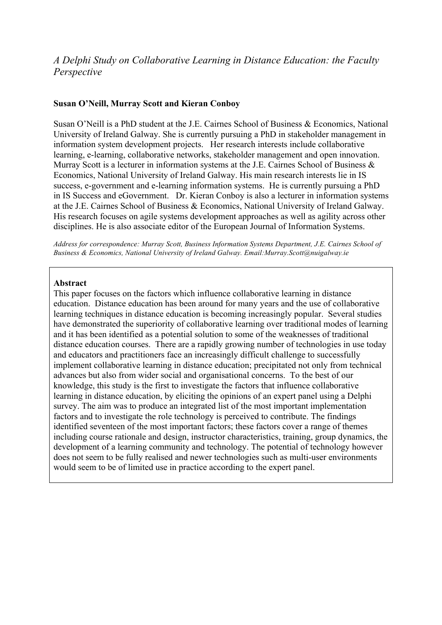# *A Delphi Study on Collaborative Learning in Distance Education: the Faculty Perspective*

## **Susan O'Neill, Murray Scott and Kieran Conboy**

Susan O'Neill is a PhD student at the J.E. Cairnes School of Business & Economics, National University of Ireland Galway. She is currently pursuing a PhD in stakeholder management in information system development projects. Her research interests include collaborative learning, e-learning, collaborative networks, stakeholder management and open innovation. Murray Scott is a lecturer in information systems at the J.E. Cairnes School of Business & Economics, National University of Ireland Galway. His main research interests lie in IS success, e-government and e-learning information systems. He is currently pursuing a PhD in IS Success and eGovernment. Dr. Kieran Conboy is also a lecturer in information systems at the J.E. Cairnes School of Business & Economics, National University of Ireland Galway. His research focuses on agile systems development approaches as well as agility across other disciplines. He is also associate editor of the European Journal of Information Systems.

*Address for correspondence: Murray Scott, Business Information Systems Department, J.E. Cairnes School of Business & Economics, National University of Ireland Galway. Email:Murray.Scott@nuigalway.ie*

#### **Abstract**

This paper focuses on the factors which influence collaborative learning in distance education. Distance education has been around for many years and the use of collaborative learning techniques in distance education is becoming increasingly popular. Several studies have demonstrated the superiority of collaborative learning over traditional modes of learning and it has been identified as a potential solution to some of the weaknesses of traditional distance education courses. There are a rapidly growing number of technologies in use today and educators and practitioners face an increasingly difficult challenge to successfully implement collaborative learning in distance education; precipitated not only from technical advances but also from wider social and organisational concerns. To the best of our knowledge, this study is the first to investigate the factors that influence collaborative learning in distance education, by eliciting the opinions of an expert panel using a Delphi survey. The aim was to produce an integrated list of the most important implementation factors and to investigate the role technology is perceived to contribute. The findings identified seventeen of the most important factors; these factors cover a range of themes including course rationale and design, instructor characteristics, training, group dynamics, the development of a learning community and technology. The potential of technology however does not seem to be fully realised and newer technologies such as multi-user environments would seem to be of limited use in practice according to the expert panel.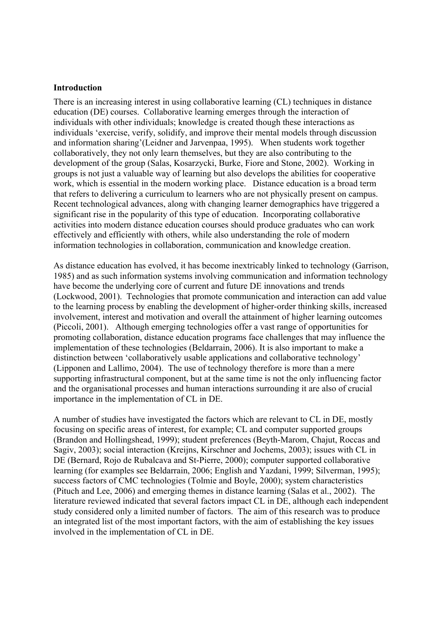#### **Introduction**

There is an increasing interest in using collaborative learning (CL) techniques in distance education (DE) courses. Collaborative learning emerges through the interaction of individuals with other individuals; knowledge is created though these interactions as individuals 'exercise, verify, solidify, and improve their mental models through discussion and information sharing'(Leidner and Jarvenpaa, 1995). When students work together collaboratively, they not only learn themselves, but they are also contributing to the development of the group (Salas, Kosarzycki, Burke, Fiore and Stone, 2002). Working in groups is not just a valuable way of learning but also develops the abilities for cooperative work, which is essential in the modern working place. Distance education is a broad term that refers to delivering a curriculum to learners who are not physically present on campus. Recent technological advances, along with changing learner demographics have triggered a significant rise in the popularity of this type of education. Incorporating collaborative activities into modern distance education courses should produce graduates who can work effectively and efficiently with others, while also understanding the role of modern information technologies in collaboration, communication and knowledge creation.

As distance education has evolved, it has become inextricably linked to technology (Garrison, 1985) and as such information systems involving communication and information technology have become the underlying core of current and future DE innovations and trends (Lockwood, 2001). Technologies that promote communication and interaction can add value to the learning process by enabling the development of higher-order thinking skills, increased involvement, interest and motivation and overall the attainment of higher learning outcomes (Piccoli, 2001). Although emerging technologies offer a vast range of opportunities for promoting collaboration, distance education programs face challenges that may influence the implementation of these technologies (Beldarrain, 2006). It is also important to make a distinction between 'collaboratively usable applications and collaborative technology' (Lipponen and Lallimo, 2004). The use of technology therefore is more than a mere supporting infrastructural component, but at the same time is not the only influencing factor and the organisational processes and human interactions surrounding it are also of crucial importance in the implementation of CL in DE.

A number of studies have investigated the factors which are relevant to CL in DE, mostly focusing on specific areas of interest, for example; CL and computer supported groups (Brandon and Hollingshead, 1999); student preferences (Beyth-Marom, Chajut, Roccas and Sagiv, 2003); social interaction (Kreijns, Kirschner and Jochems, 2003); issues with CL in DE (Bernard, Rojo de Rubalcava and St-Pierre, 2000); computer supported collaborative learning (for examples see Beldarrain, 2006; English and Yazdani, 1999; Silverman, 1995); success factors of CMC technologies (Tolmie and Boyle, 2000); system characteristics (Pituch and Lee, 2006) and emerging themes in distance learning (Salas et al., 2002). The literature reviewed indicated that several factors impact CL in DE, although each independent study considered only a limited number of factors. The aim of this research was to produce an integrated list of the most important factors, with the aim of establishing the key issues involved in the implementation of CL in DE.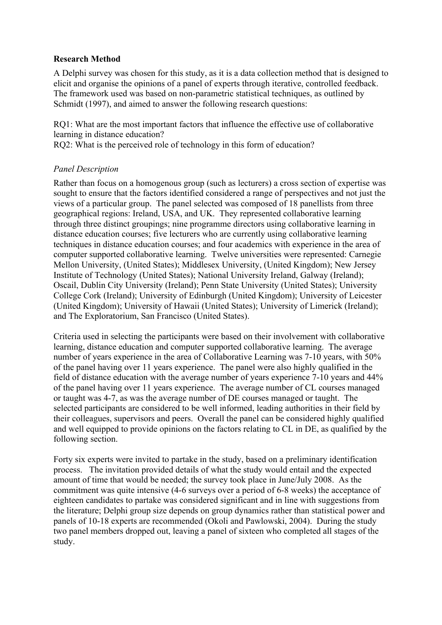## **Research Method**

A Delphi survey was chosen for this study, as it is a data collection method that is designed to elicit and organise the opinions of a panel of experts through iterative, controlled feedback. The framework used was based on non-parametric statistical techniques, as outlined by Schmidt (1997), and aimed to answer the following research questions:

RQ1: What are the most important factors that influence the effective use of collaborative learning in distance education?

RQ2: What is the perceived role of technology in this form of education?

## *Panel Description*

Rather than focus on a homogenous group (such as lecturers) a cross section of expertise was sought to ensure that the factors identified considered a range of perspectives and not just the views of a particular group. The panel selected was composed of 18 panellists from three geographical regions: Ireland, USA, and UK. They represented collaborative learning through three distinct groupings; nine programme directors using collaborative learning in distance education courses; five lecturers who are currently using collaborative learning techniques in distance education courses; and four academics with experience in the area of computer supported collaborative learning. Twelve universities were represented: Carnegie Mellon University, (United States); Middlesex University, (United Kingdom); New Jersey Institute of Technology (United States); National University Ireland, Galway (Ireland); Oscail, Dublin City University (Ireland); Penn State University (United States); University College Cork (Ireland); University of Edinburgh (United Kingdom); University of Leicester (United Kingdom); University of Hawaii (United States); University of Limerick (Ireland); and The Exploratorium, San Francisco (United States).

Criteria used in selecting the participants were based on their involvement with collaborative learning, distance education and computer supported collaborative learning. The average number of years experience in the area of Collaborative Learning was 7-10 years, with 50% of the panel having over 11 years experience. The panel were also highly qualified in the field of distance education with the average number of years experience 7-10 years and 44% of the panel having over 11 years experience. The average number of CL courses managed or taught was 4-7, as was the average number of DE courses managed or taught. The selected participants are considered to be well informed, leading authorities in their field by their colleagues, supervisors and peers. Overall the panel can be considered highly qualified and well equipped to provide opinions on the factors relating to CL in DE, as qualified by the following section.

Forty six experts were invited to partake in the study, based on a preliminary identification process. The invitation provided details of what the study would entail and the expected amount of time that would be needed; the survey took place in June/July 2008. As the commitment was quite intensive (4-6 surveys over a period of 6-8 weeks) the acceptance of eighteen candidates to partake was considered significant and in line with suggestions from the literature; Delphi group size depends on group dynamics rather than statistical power and panels of 10-18 experts are recommended (Okoli and Pawlowski, 2004). During the study two panel members dropped out, leaving a panel of sixteen who completed all stages of the study.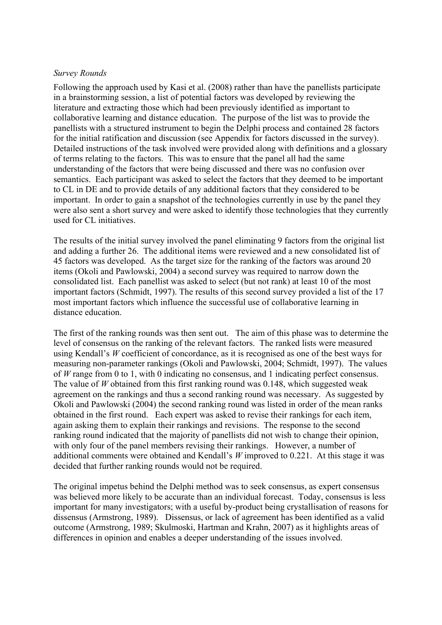## *Survey Rounds*

Following the approach used by Kasi et al. (2008) rather than have the panellists participate in a brainstorming session, a list of potential factors was developed by reviewing the literature and extracting those which had been previously identified as important to collaborative learning and distance education. The purpose of the list was to provide the panellists with a structured instrument to begin the Delphi process and contained 28 factors for the initial ratification and discussion (see Appendix for factors discussed in the survey). Detailed instructions of the task involved were provided along with definitions and a glossary of terms relating to the factors. This was to ensure that the panel all had the same understanding of the factors that were being discussed and there was no confusion over semantics. Each participant was asked to select the factors that they deemed to be important to CL in DE and to provide details of any additional factors that they considered to be important. In order to gain a snapshot of the technologies currently in use by the panel they were also sent a short survey and were asked to identify those technologies that they currently used for CL initiatives.

The results of the initial survey involved the panel eliminating 9 factors from the original list and adding a further 26. The additional items were reviewed and a new consolidated list of 45 factors was developed. As the target size for the ranking of the factors was around 20 items (Okoli and Pawlowski, 2004) a second survey was required to narrow down the consolidated list. Each panellist was asked to select (but not rank) at least 10 of the most important factors (Schmidt, 1997). The results of this second survey provided a list of the 17 most important factors which influence the successful use of collaborative learning in distance education.

The first of the ranking rounds was then sent out. The aim of this phase was to determine the level of consensus on the ranking of the relevant factors. The ranked lists were measured using Kendall's *W* coefficient of concordance, as it is recognised as one of the best ways for measuring non-parameter rankings (Okoli and Pawlowski, 2004; Schmidt, 1997). The values of *W* range from 0 to 1, with 0 indicating no consensus, and 1 indicating perfect consensus. The value of *W* obtained from this first ranking round was 0.148, which suggested weak agreement on the rankings and thus a second ranking round was necessary. As suggested by Okoli and Pawlowski (2004) the second ranking round was listed in order of the mean ranks obtained in the first round. Each expert was asked to revise their rankings for each item, again asking them to explain their rankings and revisions. The response to the second ranking round indicated that the majority of panellists did not wish to change their opinion, with only four of the panel members revising their rankings. However, a number of additional comments were obtained and Kendall's *W* improved to 0.221. At this stage it was decided that further ranking rounds would not be required.

The original impetus behind the Delphi method was to seek consensus, as expert consensus was believed more likely to be accurate than an individual forecast. Today, consensus is less important for many investigators; with a useful by-product being crystallisation of reasons for dissensus (Armstrong, 1989). Dissensus, or lack of agreement has been identified as a valid outcome (Armstrong, 1989; Skulmoski, Hartman and Krahn, 2007) as it highlights areas of differences in opinion and enables a deeper understanding of the issues involved.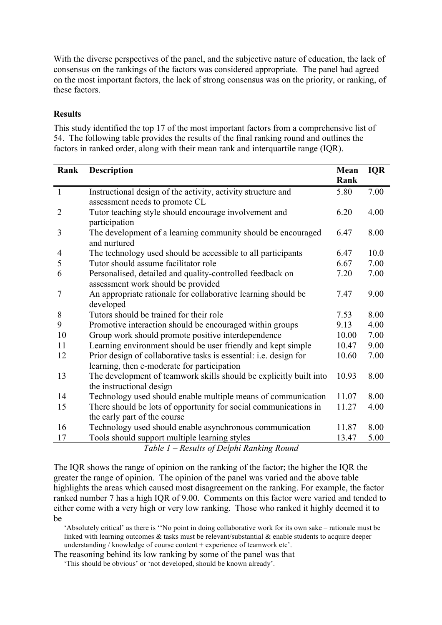With the diverse perspectives of the panel, and the subjective nature of education, the lack of consensus on the rankings of the factors was considered appropriate. The panel had agreed on the most important factors, the lack of strong consensus was on the priority, or ranking, of these factors.

## **Results**

This study identified the top 17 of the most important factors from a comprehensive list of 54. The following table provides the results of the final ranking round and outlines the factors in ranked order, along with their mean rank and interquartile range (IQR).

| Rank           | <b>Description</b>                                                 |       | <b>IQR</b> |
|----------------|--------------------------------------------------------------------|-------|------------|
|                |                                                                    | Rank  |            |
| $\overline{1}$ | Instructional design of the activity, activity structure and       | 5.80  | 7.00       |
|                | assessment needs to promote CL                                     |       |            |
| $\overline{2}$ | Tutor teaching style should encourage involvement and              | 6.20  | 4.00       |
|                | participation                                                      |       |            |
| 3              | The development of a learning community should be encouraged       | 6.47  | 8.00       |
|                | and nurtured                                                       |       |            |
| 4              | The technology used should be accessible to all participants       | 6.47  | 10.0       |
| 5              | Tutor should assume facilitator role                               | 6.67  | 7.00       |
| 6              | Personalised, detailed and quality-controlled feedback on          | 7.20  | 7.00       |
|                | assessment work should be provided                                 |       |            |
| 7              | An appropriate rationale for collaborative learning should be      | 7.47  | 9.00       |
|                | developed                                                          |       |            |
| 8              | Tutors should be trained for their role                            | 7.53  | 8.00       |
| 9              | Promotive interaction should be encouraged within groups           | 9.13  | 4.00       |
| 10             | Group work should promote positive interdependence                 | 10.00 | 7.00       |
| 11             | Learning environment should be user friendly and kept simple       | 10.47 | 9.00       |
| 12             | Prior design of collaborative tasks is essential: i.e. design for  | 10.60 | 7.00       |
|                | learning, then e-moderate for participation                        |       |            |
| 13             | The development of teamwork skills should be explicitly built into | 10.93 | 8.00       |
|                | the instructional design                                           |       |            |
| 14             | Technology used should enable multiple means of communication      | 11.07 | 8.00       |
| 15             | There should be lots of opportunity for social communications in   | 11.27 | 4.00       |
|                | the early part of the course                                       |       |            |
| 16             | Technology used should enable asynchronous communication           | 11.87 | 8.00       |
| 17             | Tools should support multiple learning styles                      | 13.47 | 5.00       |
|                | Table 1 Results of Delphi Ranking Round                            |       |            |

*Table 1 – Results of Delphi Ranking Round*

The IQR shows the range of opinion on the ranking of the factor; the higher the IQR the greater the range of opinion. The opinion of the panel was varied and the above table highlights the areas which caused most disagreement on the ranking. For example, the factor ranked number 7 has a high IQR of 9.00. Comments on this factor were varied and tended to either come with a very high or very low ranking. Those who ranked it highly deemed it to be

'Absolutely critical' as there is ''No point in doing collaborative work for its own sake – rationale must be linked with learning outcomes  $\&$  tasks must be relevant/substantial  $\&$  enable students to acquire deeper understanding / knowledge of course content + experience of teamwork etc'.

The reasoning behind its low ranking by some of the panel was that

'This should be obvious' or 'not developed, should be known already'.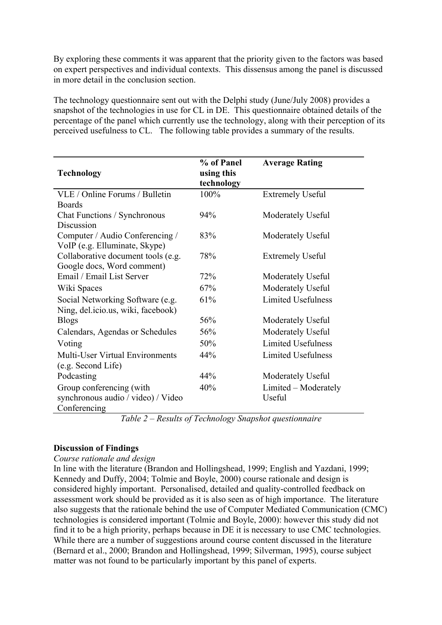By exploring these comments it was apparent that the priority given to the factors was based on expert perspectives and individual contexts. This dissensus among the panel is discussed in more detail in the conclusion section.

The technology questionnaire sent out with the Delphi study (June/July 2008) provides a snapshot of the technologies in use for CL in DE. This questionnaire obtained details of the percentage of the panel which currently use the technology, along with their perception of its perceived usefulness to CL. The following table provides a summary of the results.

| <b>Technology</b>                      | % of Panel<br>using this<br>technology                                                                                                                                                                                                                                                                                           | <b>Average Rating</b>     |
|----------------------------------------|----------------------------------------------------------------------------------------------------------------------------------------------------------------------------------------------------------------------------------------------------------------------------------------------------------------------------------|---------------------------|
| VLE / Online Forums / Bulletin         | 100%                                                                                                                                                                                                                                                                                                                             | <b>Extremely Useful</b>   |
| <b>Boards</b>                          |                                                                                                                                                                                                                                                                                                                                  |                           |
| Chat Functions / Synchronous           | 94%                                                                                                                                                                                                                                                                                                                              | Moderately Useful         |
| Discussion                             |                                                                                                                                                                                                                                                                                                                                  |                           |
| Computer / Audio Conferencing /        | 83%                                                                                                                                                                                                                                                                                                                              | Moderately Useful         |
| VoIP (e.g. Elluminate, Skype)          |                                                                                                                                                                                                                                                                                                                                  |                           |
| Collaborative document tools (e.g.     | 78%                                                                                                                                                                                                                                                                                                                              | <b>Extremely Useful</b>   |
| Google docs, Word comment)             |                                                                                                                                                                                                                                                                                                                                  |                           |
| Email / Email List Server              | 72%                                                                                                                                                                                                                                                                                                                              | Moderately Useful         |
| Wiki Spaces                            | 67%                                                                                                                                                                                                                                                                                                                              | Moderately Useful         |
| Social Networking Software (e.g.       | 61%                                                                                                                                                                                                                                                                                                                              | <b>Limited Usefulness</b> |
| Ning, del.icio.us, wiki, facebook)     |                                                                                                                                                                                                                                                                                                                                  |                           |
| <b>Blogs</b>                           | 56%                                                                                                                                                                                                                                                                                                                              | Moderately Useful         |
| Calendars, Agendas or Schedules        | 56%                                                                                                                                                                                                                                                                                                                              | Moderately Useful         |
| Voting                                 | 50%                                                                                                                                                                                                                                                                                                                              | <b>Limited Usefulness</b> |
| <b>Multi-User Virtual Environments</b> | 44%                                                                                                                                                                                                                                                                                                                              | Limited Usefulness        |
| (e.g. Second Life)                     |                                                                                                                                                                                                                                                                                                                                  |                           |
| Podcasting                             | 44%                                                                                                                                                                                                                                                                                                                              | Moderately Useful         |
| Group conferencing (with               | 40%                                                                                                                                                                                                                                                                                                                              | Limited – Moderately      |
| synchronous audio / video) / Video     |                                                                                                                                                                                                                                                                                                                                  | Useful                    |
| Conferencing<br>$-11-$                 | $\theta$ and $\theta$ and $\theta$ and $\theta$ and $\theta$ and $\theta$ and $\theta$ and $\theta$ and $\theta$ and $\theta$ and $\theta$ and $\theta$ and $\theta$ and $\theta$ and $\theta$ and $\theta$ and $\theta$ and $\theta$ and $\theta$ and $\theta$ and $\theta$ and $\theta$ and $\theta$ and $\theta$ and $\theta$ |                           |

*Table 2 – Results of Technology Snapshot questionnaire*

## **Discussion of Findings**

## *Course rationale and design*

In line with the literature (Brandon and Hollingshead, 1999; English and Yazdani, 1999; Kennedy and Duffy, 2004; Tolmie and Boyle, 2000) course rationale and design is considered highly important. Personalised, detailed and quality-controlled feedback on assessment work should be provided as it is also seen as of high importance. The literature also suggests that the rationale behind the use of Computer Mediated Communication (CMC) technologies is considered important (Tolmie and Boyle, 2000): however this study did not find it to be a high priority, perhaps because in DE it is necessary to use CMC technologies. While there are a number of suggestions around course content discussed in the literature (Bernard et al., 2000; Brandon and Hollingshead, 1999; Silverman, 1995), course subject matter was not found to be particularly important by this panel of experts.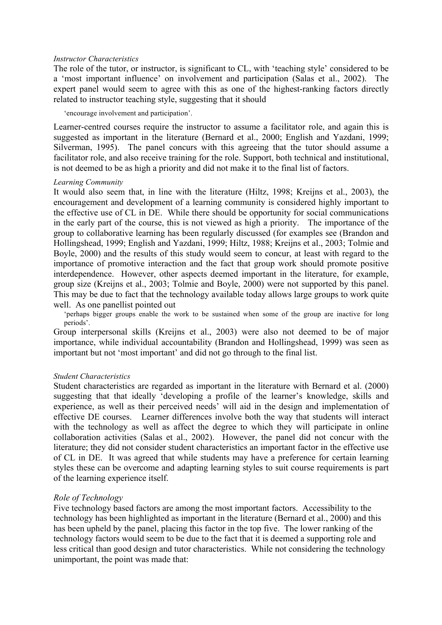#### *Instructor Characteristics*

The role of the tutor, or instructor, is significant to CL, with 'teaching style' considered to be a 'most important influence' on involvement and participation (Salas et al., 2002). The expert panel would seem to agree with this as one of the highest-ranking factors directly related to instructor teaching style, suggesting that it should

'encourage involvement and participation'.

Learner-centred courses require the instructor to assume a facilitator role, and again this is suggested as important in the literature (Bernard et al., 2000; English and Yazdani, 1999; Silverman, 1995). The panel concurs with this agreeing that the tutor should assume a facilitator role, and also receive training for the role. Support, both technical and institutional, is not deemed to be as high a priority and did not make it to the final list of factors.

#### *Learning Community*

It would also seem that, in line with the literature (Hiltz, 1998; Kreijns et al., 2003), the encouragement and development of a learning community is considered highly important to the effective use of CL in DE. While there should be opportunity for social communications in the early part of the course, this is not viewed as high a priority. The importance of the group to collaborative learning has been regularly discussed (for examples see (Brandon and Hollingshead, 1999; English and Yazdani, 1999; Hiltz, 1988; Kreijns et al., 2003; Tolmie and Boyle, 2000) and the results of this study would seem to concur, at least with regard to the importance of promotive interaction and the fact that group work should promote positive interdependence. However, other aspects deemed important in the literature, for example, group size (Kreijns et al., 2003; Tolmie and Boyle, 2000) were not supported by this panel. This may be due to fact that the technology available today allows large groups to work quite well. As one panellist pointed out

'perhaps bigger groups enable the work to be sustained when some of the group are inactive for long periods'.

Group interpersonal skills (Kreijns et al., 2003) were also not deemed to be of major importance, while individual accountability (Brandon and Hollingshead, 1999) was seen as important but not 'most important' and did not go through to the final list.

## *Student Characteristics*

Student characteristics are regarded as important in the literature with Bernard et al. (2000) suggesting that that ideally 'developing a profile of the learner's knowledge, skills and experience, as well as their perceived needs' will aid in the design and implementation of effective DE courses. Learner differences involve both the way that students will interact with the technology as well as affect the degree to which they will participate in online collaboration activities (Salas et al., 2002). However, the panel did not concur with the literature; they did not consider student characteristics an important factor in the effective use of CL in DE. It was agreed that while students may have a preference for certain learning styles these can be overcome and adapting learning styles to suit course requirements is part of the learning experience itself.

## *Role of Technology*

Five technology based factors are among the most important factors. Accessibility to the technology has been highlighted as important in the literature (Bernard et al., 2000) and this has been upheld by the panel, placing this factor in the top five. The lower ranking of the technology factors would seem to be due to the fact that it is deemed a supporting role and less critical than good design and tutor characteristics. While not considering the technology unimportant, the point was made that: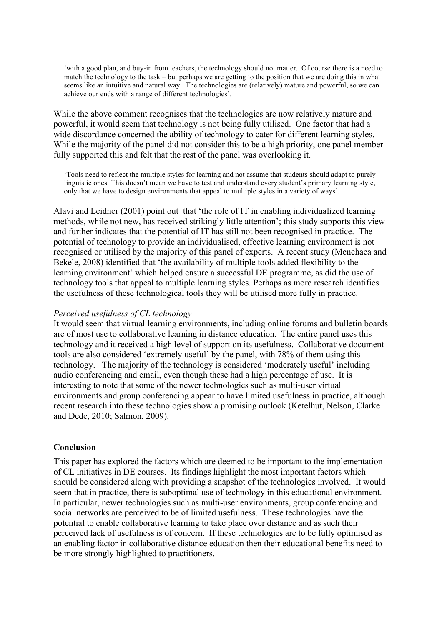'with a good plan, and buy-in from teachers, the technology should not matter. Of course there is a need to match the technology to the task – but perhaps we are getting to the position that we are doing this in what seems like an intuitive and natural way. The technologies are (relatively) mature and powerful, so we can achieve our ends with a range of different technologies'.

While the above comment recognises that the technologies are now relatively mature and powerful, it would seem that technology is not being fully utilised. One factor that had a wide discordance concerned the ability of technology to cater for different learning styles. While the majority of the panel did not consider this to be a high priority, one panel member fully supported this and felt that the rest of the panel was overlooking it.

'Tools need to reflect the multiple styles for learning and not assume that students should adapt to purely linguistic ones. This doesn't mean we have to test and understand every student's primary learning style, only that we have to design environments that appeal to multiple styles in a variety of ways'.

Alavi and Leidner (2001) point out that 'the role of IT in enabling individualized learning methods, while not new, has received strikingly little attention'; this study supports this view and further indicates that the potential of IT has still not been recognised in practice. The potential of technology to provide an individualised, effective learning environment is not recognised or utilised by the majority of this panel of experts. A recent study (Menchaca and Bekele, 2008) identified that 'the availability of multiple tools added flexibility to the learning environment' which helped ensure a successful DE programme, as did the use of technology tools that appeal to multiple learning styles. Perhaps as more research identifies the usefulness of these technological tools they will be utilised more fully in practice.

#### *Perceived usefulness of CL technology*

It would seem that virtual learning environments, including online forums and bulletin boards are of most use to collaborative learning in distance education. The entire panel uses this technology and it received a high level of support on its usefulness. Collaborative document tools are also considered 'extremely useful' by the panel, with 78% of them using this technology. The majority of the technology is considered 'moderately useful' including audio conferencing and email, even though these had a high percentage of use. It is interesting to note that some of the newer technologies such as multi-user virtual environments and group conferencing appear to have limited usefulness in practice, although recent research into these technologies show a promising outlook (Ketelhut, Nelson, Clarke and Dede, 2010; Salmon, 2009).

#### **Conclusion**

This paper has explored the factors which are deemed to be important to the implementation of CL initiatives in DE courses. Its findings highlight the most important factors which should be considered along with providing a snapshot of the technologies involved. It would seem that in practice, there is suboptimal use of technology in this educational environment. In particular, newer technologies such as multi-user environments, group conferencing and social networks are perceived to be of limited usefulness. These technologies have the potential to enable collaborative learning to take place over distance and as such their perceived lack of usefulness is of concern. If these technologies are to be fully optimised as an enabling factor in collaborative distance education then their educational benefits need to be more strongly highlighted to practitioners.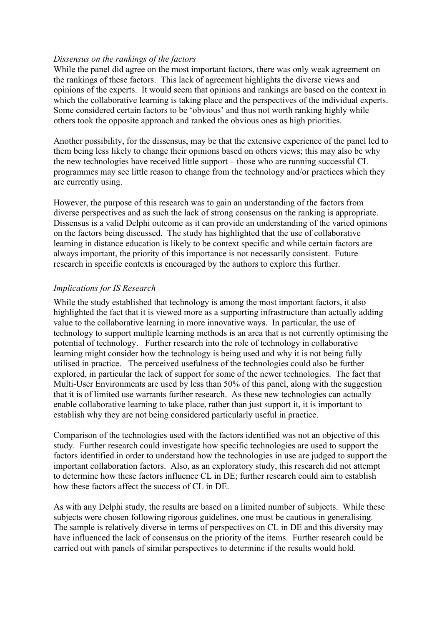## *Dissensus on the rankings of the factors*

While the panel did agree on the most important factors, there was only weak agreement on the rankings of these factors. This lack of agreement highlights the diverse views and opinions of the experts. It would seem that opinions and rankings are based on the context in which the collaborative learning is taking place and the perspectives of the individual experts. Some considered certain factors to be 'obvious' and thus not worth ranking highly while others took the opposite approach and ranked the obvious ones as high priorities.

Another possibility, for the dissensus, may be that the extensive experience of the panel led to them being less likely to change their opinions based on others views; this may also be why the new technologies have received little support – those who are running successful CL programmes may see little reason to change from the technology and/or practices which they are currently using.

However, the purpose of this research was to gain an understanding of the factors from diverse perspectives and as such the lack of strong consensus on the ranking is appropriate. Dissensus is a valid Delphi outcome as it can provide an understanding of the varied opinions on the factors being discussed. The study has highlighted that the use of collaborative learning in distance education is likely to be context specific and while certain factors are always important, the priority of this importance is not necessarily consistent. Future research in specific contexts is encouraged by the authors to explore this further.

## *Implications for IS Research*

While the study established that technology is among the most important factors, it also highlighted the fact that it is viewed more as a supporting infrastructure than actually adding value to the collaborative learning in more innovative ways. In particular, the use of technology to support multiple learning methods is an area that is not currently optimising the potential of technology. Further research into the role of technology in collaborative learning might consider how the technology is being used and why it is not being fully utilised in practice. The perceived usefulness of the technologies could also be further explored, in particular the lack of support for some of the newer technologies. The fact that Multi-User Environments are used by less than 50% of this panel, along with the suggestion that it is of limited use warrants further research. As these new technologies can actually enable collaborative learning to take place, rather than just support it, it is important to establish why they are not being considered particularly useful in practice.

Comparison of the technologies used with the factors identified was not an objective of this study. Further research could investigate how specific technologies are used to support the factors identified in order to understand how the technologies in use are judged to support the important collaboration factors. Also, as an exploratory study, this research did not attempt to determine how these factors influence CL in DE; further research could aim to establish how these factors affect the success of CL in DE.

As with any Delphi study, the results are based on a limited number of subjects. While these subjects were chosen following rigorous guidelines, one must be cautious in generalising. The sample is relatively diverse in terms of perspectives on CL in DE and this diversity may have influenced the lack of consensus on the priority of the items. Further research could be carried out with panels of similar perspectives to determine if the results would hold.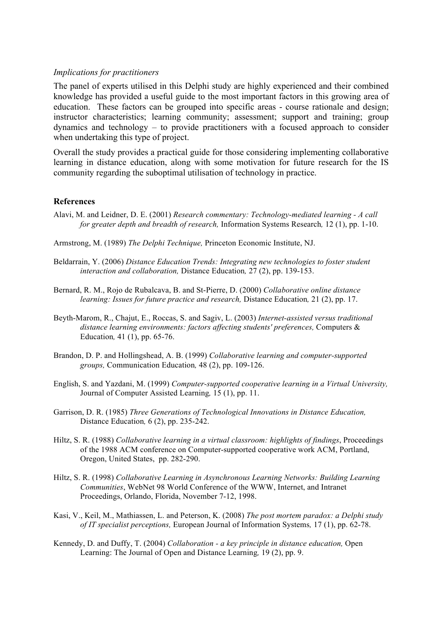#### *Implications for practitioners*

The panel of experts utilised in this Delphi study are highly experienced and their combined knowledge has provided a useful guide to the most important factors in this growing area of education. These factors can be grouped into specific areas - course rationale and design; instructor characteristics; learning community; assessment; support and training; group dynamics and technology – to provide practitioners with a focused approach to consider when undertaking this type of project.

Overall the study provides a practical guide for those considering implementing collaborative learning in distance education, along with some motivation for future research for the IS community regarding the suboptimal utilisation of technology in practice.

## **References**

- Alavi, M. and Leidner, D. E. (2001) *Research commentary: Technology-mediated learning - A call for greater depth and breadth of research,* Information Systems Research*,* 12 (1), pp. 1-10.
- Armstrong, M. (1989) *The Delphi Technique,* Princeton Economic Institute, NJ.
- Beldarrain, Y. (2006) *Distance Education Trends: Integrating new technologies to foster student interaction and collaboration,* Distance Education*,* 27 (2), pp. 139-153.
- Bernard, R. M., Rojo de Rubalcava, B. and St-Pierre, D. (2000) *Collaborative online distance learning: Issues for future practice and research,* Distance Education*,* 21 (2), pp. 17.
- Beyth-Marom, R., Chajut, E., Roccas, S. and Sagiv, L. (2003) *Internet-assisted versus traditional distance learning environments: factors affecting students' preferences,* Computers & Education*,* 41 (1), pp. 65-76.
- Brandon, D. P. and Hollingshead, A. B. (1999) *Collaborative learning and computer-supported groups,* Communication Education*,* 48 (2), pp. 109-126.
- English, S. and Yazdani, M. (1999) *Computer-supported cooperative learning in a Virtual University,* Journal of Computer Assisted Learning*,* 15 (1), pp. 11.
- Garrison, D. R. (1985) *Three Generations of Technological Innovations in Distance Education,* Distance Education*,* 6 (2), pp. 235-242.
- Hiltz, S. R. (1988) *Collaborative learning in a virtual classroom: highlights of findings*, Proceedings of the 1988 ACM conference on Computer-supported cooperative work ACM, Portland, Oregon, United States, pp. 282-290.
- Hiltz, S. R. (1998) *Collaborative Learning in Asynchronous Learning Networks: Building Learning Communities*, WebNet 98 World Conference of the WWW, Internet, and Intranet Proceedings, Orlando, Florida, November 7-12, 1998.
- Kasi, V., Keil, M., Mathiassen, L. and Peterson, K. (2008) *The post mortem paradox: a Delphi study of IT specialist perceptions,* European Journal of Information Systems*,* 17 (1), pp. 62-78.
- Kennedy, D. and Duffy, T. (2004) *Collaboration - a key principle in distance education,* Open Learning: The Journal of Open and Distance Learning*,* 19 (2), pp. 9.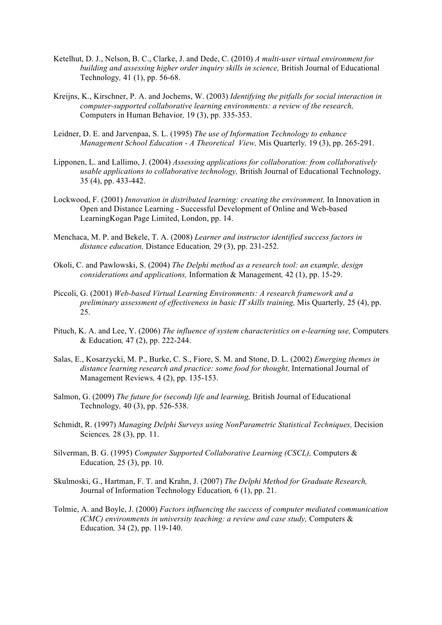- Ketelhut, D. J., Nelson, B. C., Clarke, J. and Dede, C. (2010) *A multi-user virtual environment for building and assessing higher order inquiry skills in science,* British Journal of Educational Technology*,* 41 (1), pp. 56-68.
- Kreijns, K., Kirschner, P. A. and Jochems, W. (2003) *Identifying the pitfalls for social interaction in computer-supported collaborative learning environments: a review of the research,* Computers in Human Behavior*,* 19 (3), pp. 335-353.
- Leidner, D. E. and Jarvenpaa, S. L. (1995) *The use of Information Technology to enhance Management School Education - A Theoretical View,* Mis Quarterly*,* 19 (3), pp. 265-291.
- Lipponen, L. and Lallimo, J. (2004) *Assessing applications for collaboration: from collaboratively usable applications to collaborative technology,* British Journal of Educational Technology*,* 35 (4), pp. 433-442.
- Lockwood, F. (2001) *Innovation in distributed learning: creating the environment*. In Innovation in Open and Distance Learning - Successful Development of Online and Web-based LearningKogan Page Limited, London, pp. 14.
- Menchaca, M. P. and Bekele, T. A. (2008) *Learner and instructor identified success factors in distance education,* Distance Education*,* 29 (3), pp. 231-252.
- Okoli, C. and Pawlowski, S. (2004) *The Delphi method as a research tool: an example, design considerations and applications,* Information & Management*,* 42 (1), pp. 15-29.
- Piccoli, G. (2001) *Web-based Virtual Learning Environments: A research framework and a preliminary assessment of effectiveness in basic IT skills training,* Mis Quarterly*,* 25 (4), pp. 25.
- Pituch, K. A. and Lee, Y. (2006) *The influence of system characteristics on e-learning use,* Computers & Education*,* 47 (2), pp. 222-244.
- Salas, E., Kosarzycki, M. P., Burke, C. S., Fiore, S. M. and Stone, D. L. (2002) *Emerging themes in distance learning research and practice: some food for thought,* International Journal of Management Reviews*,* 4 (2), pp. 135-153.
- Salmon, G. (2009) *The future for (second) life and learning,* British Journal of Educational Technology*,* 40 (3), pp. 526-538.
- Schmidt, R. (1997) *Managing Delphi Surveys using NonParametric Statistical Techniques,* Decision Sciences*,* 28 (3), pp. 11.
- Silverman, B. G. (1995) *Computer Supported Collaborative Learning (CSCL),* Computers & Education*,* 25 (3), pp. 10.
- Skulmoski, G., Hartman, F. T. and Krahn, J. (2007) *The Delphi Method for Graduate Research,* Journal of Information Technology Education*,* 6 (1), pp. 21.
- Tolmie, A. and Boyle, J. (2000) *Factors influencing the success of computer mediated communication (CMC) environments in university teaching: a review and case study,* Computers & Education*,* 34 (2), pp. 119-140.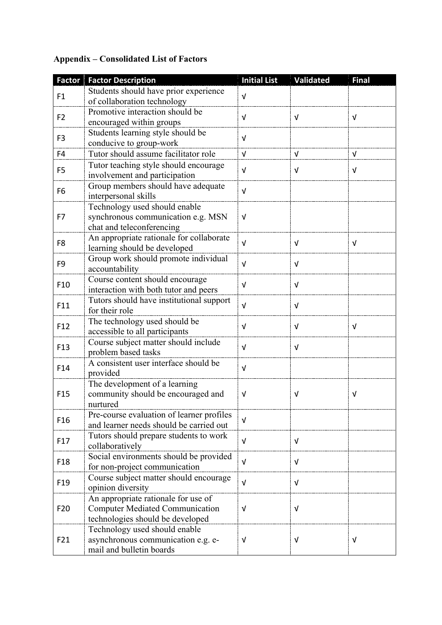| <b>Appendix – Consolidated List of Factors</b> |
|------------------------------------------------|
|------------------------------------------------|

|                 | <b>Factor Factor Description</b>                           | <b>Initial List</b> | <b>Validated</b> | <b>Final</b> |
|-----------------|------------------------------------------------------------|---------------------|------------------|--------------|
| F1              | Students should have prior experience                      |                     |                  |              |
|                 | of collaboration technology                                | $\sqrt{ }$          |                  |              |
| F <sub>2</sub>  | Promotive interaction should be                            | $\sqrt{ }$          | $\sqrt{ }$       | $\sqrt{ }$   |
|                 | encouraged within groups                                   |                     |                  |              |
| F <sub>3</sub>  | Students learning style should be                          | $\sqrt{ }$          |                  |              |
|                 | conducive to group-work                                    |                     |                  |              |
| F4              | Tutor should assume facilitator role                       | $\sqrt{ }$          | $\sqrt{ }$       | $\sqrt{ }$   |
| F <sub>5</sub>  | Tutor teaching style should encourage                      | $\sqrt{ }$          | V                | V            |
|                 | involvement and participation                              |                     |                  |              |
| F <sub>6</sub>  | Group members should have adequate                         | $\sqrt{ }$          |                  |              |
|                 | interpersonal skills                                       |                     |                  |              |
|                 | Technology used should enable                              |                     |                  |              |
| F7              | synchronous communication e.g. MSN                         | $\sqrt{ }$          |                  |              |
|                 | chat and teleconferencing                                  |                     |                  |              |
| F <sub>8</sub>  | An appropriate rationale for collaborate                   | $\sqrt{ }$          | $\sqrt{ }$       | $\sqrt{ }$   |
|                 | learning should be developed                               |                     |                  |              |
| F <sub>9</sub>  | Group work should promote individual                       | $\sqrt{ }$          | $\sqrt{ }$       |              |
|                 | accountability                                             |                     |                  |              |
| F <sub>10</sub> | Course content should encourage                            | $\sqrt{ }$          | V                |              |
|                 | interaction with both tutor and peers                      |                     | $\sqrt{ }$       |              |
| F11             | Tutors should have institutional support<br>for their role | $\sqrt{ }$          |                  |              |
|                 | The technology used should be                              |                     | $\sqrt{ }$       | $\sqrt{ }$   |
| F12             | accessible to all participants                             | $\sqrt{ }$          |                  |              |
|                 | Course subject matter should include                       |                     |                  |              |
| F13             | problem based tasks                                        | $\sqrt{ }$          | $\sqrt{ }$       |              |
|                 | A consistent user interface should be                      |                     |                  |              |
| F14             | provided                                                   | $\sqrt{ }$          |                  |              |
|                 | The development of a learning                              |                     |                  |              |
| F <sub>15</sub> | community should be encouraged and                         | $\sqrt{ }$          | V                | V            |
|                 | murtured                                                   |                     |                  |              |
|                 | Pre-course evaluation of learner profiles                  | $\sqrt{ }$          |                  |              |
| F <sub>16</sub> | and learner needs should be carried out                    |                     |                  |              |
| F17             | Tutors should prepare students to work                     | $\sqrt{ }$          | $\sqrt{ }$       |              |
|                 | collaboratively                                            |                     |                  |              |
| F <sub>18</sub> | Social environments should be provided                     | $\sqrt{ }$          | $\sqrt{ }$       |              |
|                 | for non-project communication                              |                     |                  |              |
| F <sub>19</sub> | Course subject matter should encourage                     | $\sqrt{ }$          | $\sqrt{ }$       |              |
|                 | opinion diversity                                          |                     |                  |              |
| F20             | An appropriate rationale for use of                        |                     |                  |              |
|                 | <b>Computer Mediated Communication</b>                     | V                   | $\sqrt{ }$       |              |
|                 | technologies should be developed                           |                     |                  |              |
| F21             | Technology used should enable                              |                     |                  |              |
|                 | asynchronous communication e.g. e-                         | $\sqrt{ }$          | $\sqrt{ }$       | $\sqrt{ }$   |
|                 | mail and bulletin boards                                   |                     |                  |              |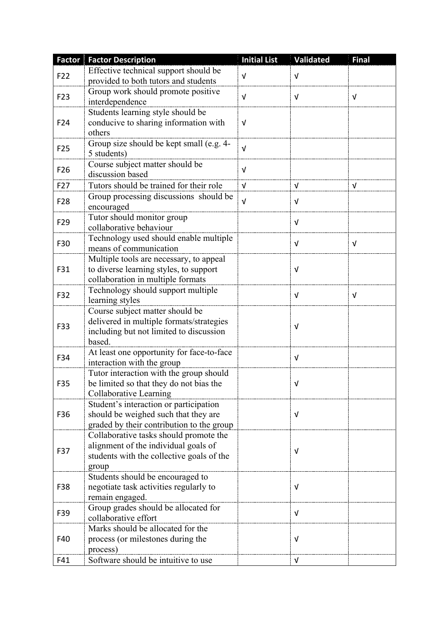| Factor | <b>Factor Description</b>                 | <b>Initial List</b> | Validated  | <b>Final</b> |
|--------|-------------------------------------------|---------------------|------------|--------------|
|        | Effective technical support should be     |                     |            |              |
| F22    | provided to both tutors and students      | $\sqrt{ }$          | $\sqrt{ }$ |              |
| F23    | Group work should promote positive        |                     |            |              |
|        | interdependence                           | $\sqrt{ }$          | $\sqrt{ }$ | $\sqrt{ }$   |
|        | Students learning style should be         |                     |            |              |
| F24    | conducive to sharing information with     | $\sqrt{ }$          |            |              |
|        | others                                    |                     |            |              |
| F25    | Group size should be kept small (e.g. 4-  |                     |            |              |
|        | 5 students)                               | $\sqrt{ }$          |            |              |
|        | Course subject matter should be           |                     |            |              |
| F26    | discussion based                          | $\sqrt{ }$          |            |              |
| F27    | Tutors should be trained for their role   | $\sqrt{ }$          | $\sqrt{ }$ | $\sqrt{ }$   |
|        | Group processing discussions should be    |                     |            |              |
| F28    | encouraged                                | $\sqrt{ }$          | V          |              |
|        | Tutor should monitor group                |                     |            |              |
| F29    | collaborative behaviour                   |                     | $\sqrt{ }$ |              |
|        | Technology used should enable multiple    |                     |            |              |
| F30    | means of communication                    |                     | $\sqrt{ }$ | $\sqrt{ }$   |
|        | Multiple tools are necessary, to appeal   |                     |            |              |
| F31    | to diverse learning styles, to support    |                     | $\sqrt{ }$ |              |
|        | collaboration in multiple formats         |                     |            |              |
|        | Technology should support multiple        |                     |            |              |
| F32    | learning styles                           |                     | V          | $\sqrt{ }$   |
|        | Course subject matter should be           |                     |            |              |
|        | delivered in multiple formats/strategies  |                     |            |              |
| F33    | including but not limited to discussion   |                     | $\sqrt{ }$ |              |
|        | based.                                    |                     |            |              |
| F34    | At least one opportunity for face-to-face |                     | V          |              |
|        | interaction with the group                |                     |            |              |
|        | Tutor interaction with the group should   |                     |            |              |
| F35    | be limited so that they do not bias the   |                     | V          |              |
|        | Collaborative Learning                    |                     |            |              |
|        | Student's interaction or participation    |                     | V          |              |
| F36    | should be weighed such that they are      |                     |            |              |
|        | graded by their contribution to the group |                     |            |              |
|        | Collaborative tasks should promote the    |                     | $\sqrt{ }$ |              |
| F37    | alignment of the individual goals of      |                     |            |              |
|        | students with the collective goals of the |                     |            |              |
|        | group                                     |                     |            |              |
|        | Students should be encouraged to          |                     |            |              |
| F38    | negotiate task activities regularly to    |                     | V          |              |
|        | remain engaged.                           |                     |            |              |
| F39    | Group grades should be allocated for      |                     | V          |              |
|        | collaborative effort                      |                     |            |              |
|        | Marks should be allocated for the         |                     |            |              |
| F40    | process (or milestones during the         |                     | V          |              |
|        | process)                                  |                     |            |              |
| F41    | Software should be intuitive to use       |                     | V          |              |